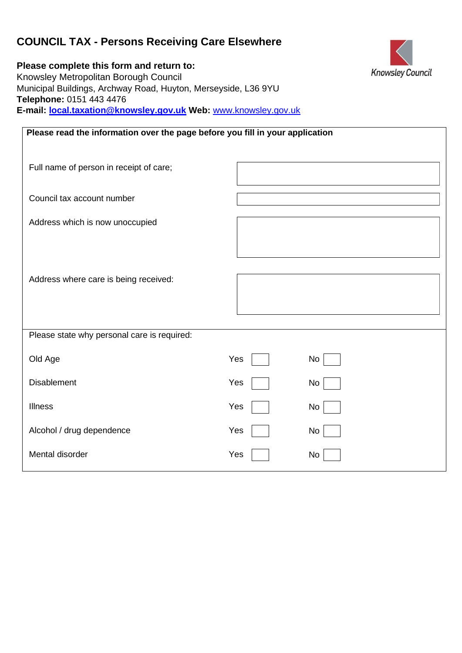# **COUNCIL TAX - Persons Receiving Care Elsewhere**

**Please complete this form and return to:**  Knowsley Metropolitan Borough Council Municipal Buildings, Archway Road, Huyton, Merseyside, L36 9YU **Telephone:** 0151 443 4476 **E-mail: local.taxation@knowsley.gov.uk Web:** [www.knowsley.gov.uk](http://www.knowsley.gov.uk/) 

| Please read the information over the page before you fill in your application |     |    |  |  |
|-------------------------------------------------------------------------------|-----|----|--|--|
| Full name of person in receipt of care;                                       |     |    |  |  |
| Council tax account number                                                    |     |    |  |  |
| Address which is now unoccupied                                               |     |    |  |  |
|                                                                               |     |    |  |  |
| Address where care is being received:                                         |     |    |  |  |
|                                                                               |     |    |  |  |
| Please state why personal care is required:                                   |     |    |  |  |
| Old Age                                                                       | Yes | No |  |  |
| <b>Disablement</b>                                                            | Yes | No |  |  |
| <b>Illness</b>                                                                | Yes | No |  |  |
| Alcohol / drug dependence                                                     | Yes | No |  |  |
| Mental disorder                                                               | Yes | No |  |  |

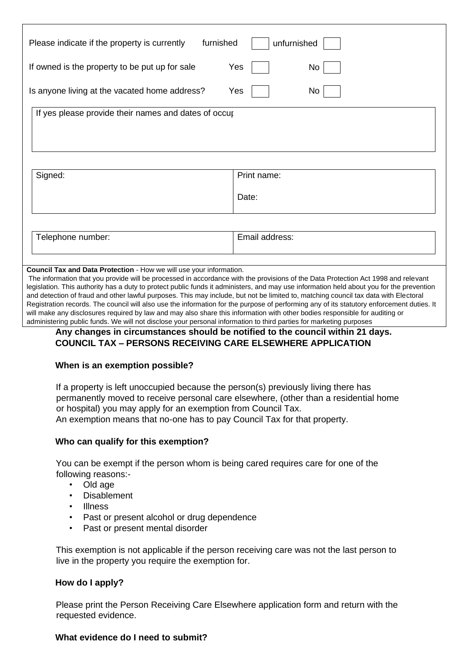| furnished<br>Please indicate if the property is currently  | unfurnished |  |  |  |
|------------------------------------------------------------|-------------|--|--|--|
| Yes<br>If owned is the property to be put up for sale      | No          |  |  |  |
| Is anyone living at the vacated home address?<br>Yes<br>No |             |  |  |  |
| If yes please provide their names and dates of occur       |             |  |  |  |
|                                                            |             |  |  |  |

| Signed:           | Print name:    |
|-------------------|----------------|
|                   | Date:          |
|                   |                |
| Telephone number: | Email address: |

#### **Council Tax and Data Protection** - How we will use your information.

The information that you provide will be processed in accordance with the provisions of the Data Protection Act 1998 and relevant legislation. This authority has a duty to protect public funds it administers, and may use information held about you for the prevention and detection of fraud and other lawful purposes. This may include, but not be limited to, matching council tax data with Electoral Registration records. The council will also use the information for the purpose of performing any of its statutory enforcement duties. It will make any disclosures required by law and may also share this information with other bodies responsible for auditing or administering public funds. We will not disclose your personal information to third parties for marketing purposes

## **Any changes in circumstances should be notified to the council within 21 days. COUNCIL TAX – PERSONS RECEIVING CARE ELSEWHERE APPLICATION**

### **When is an exemption possible?**

If a property is left unoccupied because the person(s) previously living there has permanently moved to receive personal care elsewhere, (other than a residential home or hospital) you may apply for an exemption from Council Tax. An exemption means that no-one has to pay Council Tax for that property.

### **Who can qualify for this exemption?**

You can be exempt if the person whom is being cared requires care for one of the following reasons:-

- Old age
- Disablement
- Illness
- Past or present alcohol or drug dependence
- Past or present mental disorder

This exemption is not applicable if the person receiving care was not the last person to live in the property you require the exemption for.

### **How do I apply?**

Please print the Person Receiving Care Elsewhere application form and return with the requested evidence.

### **What evidence do I need to submit?**